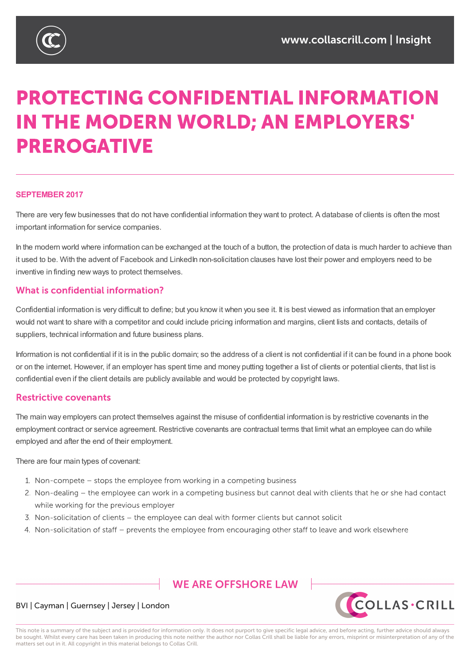

# **PROTECTING CONFIDENTIAL INFORMATION** IN THE MODERN WORLD; AN EMPLOYERS' **PREROGATIVE**

#### **SEPTEMBER 2017**

There are very few businesses that do not have confidential information they want to protect. A database of clients is often the most important information for service companies.

In the modern world where information can be exchanged at the touch of a button, the protection of data is much harder to achieve than it used to be. With the advent of Facebook and LinkedIn non-solicitation clauses have lost their power and employers need to be inventive in finding new ways to protect themselves.

# What is confidential information?

Confidential information is very difficult to define; but you know it when you see it. It is best viewed as information that an employer would not want to share with a competitor and could include pricing information and margins, client lists and contacts, details of suppliers, technical information and future business plans.

Information is not confidential if it is in the public domain; so the address of a client is not confidential if it can be found in a phone book or on the internet. However, if an employer has spent time and money putting together a list of clients or potential clients, that list is confidential even if the client details are publicly available and would be protected by copyright laws.

### **Restrictive covenants**

The main way employers can protect themselves against the misuse of confidential information is by restrictive covenants in the employment contract or service agreement. Restrictive covenants are contractual terms that limit what an employee can do while employed and after the end of their employment.

There are four main types of covenant:

- 1. Non-compete stops the employee from working in a competing business
- 2. Non-dealing the employee can work in a competing business but cannot deal with clients that he or she had contact while working for the previous employer
- 3. Non-solicitation of clients the employee can deal with former clients but cannot solicit
- 4. Non-solicitation of staff prevents the employee from encouraging other staff to leave and work elsewhere

# **WE ARE OFFSHORE I AW**



### BVI | Cayman | Guernsey | Jersey | London

This note is a summary of the subject and is provided for information only. It does not purport to give specific legal advice, and before acting, further advice should always be sought. Whilst every care has been taken in producing this note neither the author nor Collas Crill shall be liable for any errors, misprint or misinterpretation of any of the matters set out in it. All copyright in this material belongs to Collas Crill.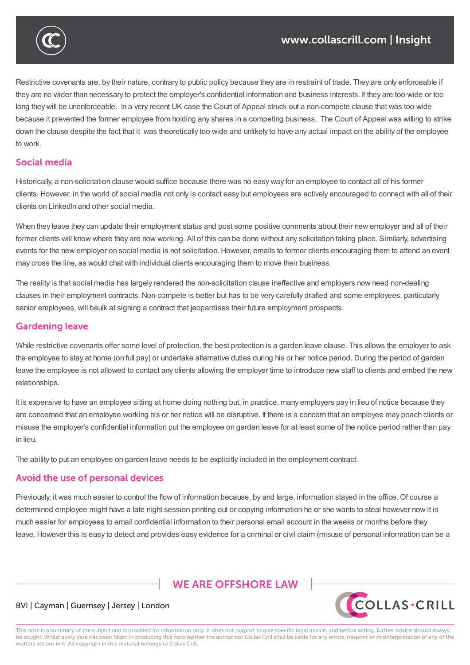

Restrictive covenants are, by their nature, contrary to public policy because they are in restraint of trade. They are only enforceable if they are no wider than necessary to protect the employer's confidential information and business interests. If they are too wide or too long they will be unenforceable. In a very recent UK case the Court of Appeal struck out a non-compete clause that was too wide because it prevented the former employee from holding any shares in a competing business. The Court of Appeal was willing to strike down the clause despite the fact that it was theoretically too wide and unlikely to have any actual impact on the ability of the employee to work.

## Social media

Historically, a non-solicitation clause would suffice because there was no easy way for an employee to contact all of his former clients. However, in the world of social media not only is contact easy but employees are actively encouraged to connect with all of their clients on LinkedIn and other social media.

When they leave they can update their employment status and post some positive comments about their new employer and all of their former clients will know where they are now working. All of this can be done without any solicitation taking place. Similarly, advertising events for the new employer on social media is not solicitation. However, emails to former clients encouraging them to attend an event may cross the line, as would chat with individual clients encouraging them to move their business.

The reality is that social media has largely rendered the non-solicitation clause ineffective and employers now need non-dealing clauses in their employment contracts. Non-compete is better but has to be very carefully drafted and some employees, particularly senior employees, will baulk at signing a contract that jeopardises their future employment prospects.

# **Gardening leave**

While restrictive covenants offer some level of protection, the best protection is a garden leave clause. This allows the employer to ask the employee to stay at home (on full pay) or undertake alternative duties during his or her notice period. During the period of garden leave the employee is not allowed to contact any clients allowing the employer time to introduce new staff to clients and embed the new relationships.

It is expensive to have an employee sitting at home doing nothing but, in practice, many employers pay in lieu of notice because they are concerned that an employee working his or her notice will be disruptive. If there is a concern that an employee may poach clients or misuse the employer's confidential information put the employee on garden leave for at least some of the notice period rather than pay in lieu.

The ability to put an employee on garden leave needs to be explicitly included in the employment contract.

# Avoid the use of personal devices

Previously, it was much easier to control the flow of information because, by and large, information stayed in the office. Of course a determined employee might have a late night session printing out or copying information he or she wants to steal however now it is much easier for employees to email confidential information to their personal email account in the weeks or months before they leave. However this is easy to detect and provides easy evidence for a criminal or civil claim (misuse of personal information can be a

# **WE ARE OFFSHORE I AW**



### BVI | Cayman | Guernsey | Jersey | London

This note is a summary of the subject and is provided for information only. It does not purport to give specific legal advice, and before acting, further advice should always be sought. Whilst every care has been taken in producing this note neither the author nor Collas Crill shall be liable for any errors, misprint or misinterpretation of any of the matters set out in it. All copyright in this material belongs to Collas Crill.